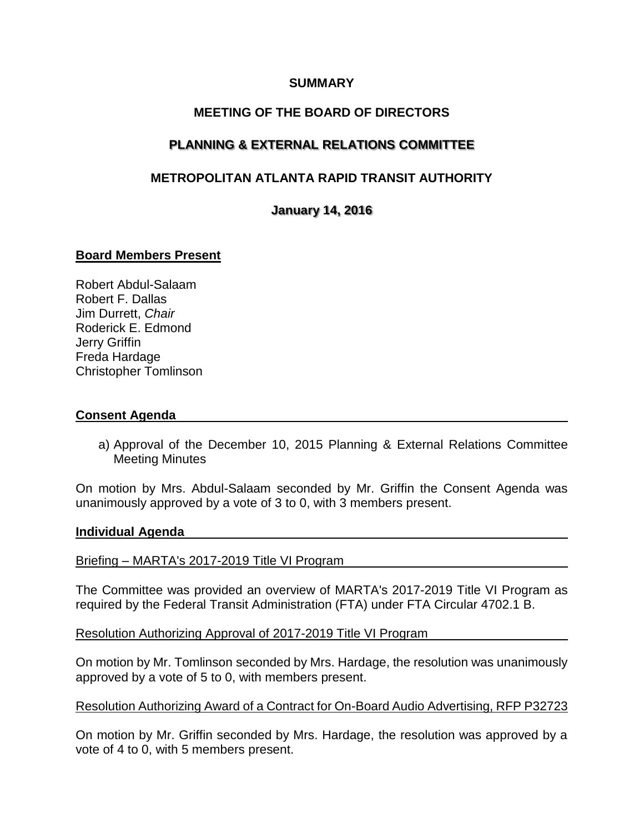### **SUMMARY**

## **MEETING OF THE BOARD OF DIRECTORS**

# **PLANNING & EXTERNAL RELATIONS COMMITTEE**

# **METROPOLITAN ATLANTA RAPID TRANSIT AUTHORITY**

### **January 14, 2016**

### **Board Members Present**

Robert Abdul-Salaam Robert F. Dallas Jim Durrett, *Chair* Roderick E. Edmond Jerry Griffin Freda Hardage Christopher Tomlinson

#### **Consent Agenda**

a) Approval of the December 10, 2015 Planning & External Relations Committee Meeting Minutes

On motion by Mrs. Abdul-Salaam seconded by Mr. Griffin the Consent Agenda was unanimously approved by a vote of 3 to 0, with 3 members present.

#### **Individual Agenda**

Briefing – MARTA's 2017-2019 Title VI Program

The Committee was provided an overview of MARTA's 2017-2019 Title VI Program as required by the Federal Transit Administration (FTA) under FTA Circular 4702.1 B.

Resolution Authorizing Approval of 2017-2019 Title VI Program

On motion by Mr. Tomlinson seconded by Mrs. Hardage, the resolution was unanimously approved by a vote of 5 to 0, with members present.

#### Resolution Authorizing Award of a Contract for On-Board Audio Advertising, RFP P32723

On motion by Mr. Griffin seconded by Mrs. Hardage, the resolution was approved by a vote of 4 to 0, with 5 members present.